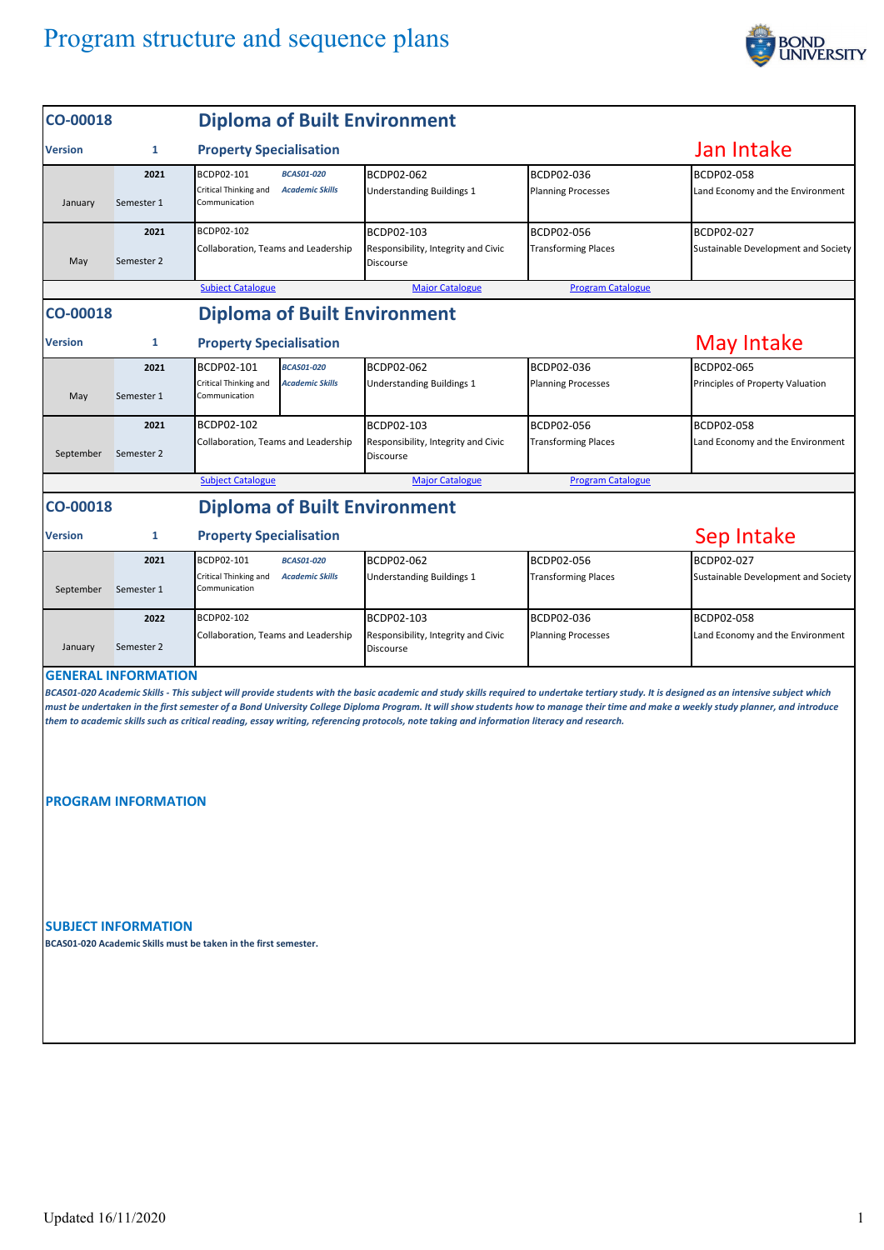## Program structure and sequence plans



| CO-00018       |                                                          | <b>Diploma of Built Environment</b>                                                                 |                                                                                                                                            |                                          |                                                                                                                                                                                                                                                                                                                                                                                     |
|----------------|----------------------------------------------------------|-----------------------------------------------------------------------------------------------------|--------------------------------------------------------------------------------------------------------------------------------------------|------------------------------------------|-------------------------------------------------------------------------------------------------------------------------------------------------------------------------------------------------------------------------------------------------------------------------------------------------------------------------------------------------------------------------------------|
| <b>Version</b> | 1                                                        | <b>Property Specialisation</b>                                                                      | Jan Intake                                                                                                                                 |                                          |                                                                                                                                                                                                                                                                                                                                                                                     |
| January        | 2021<br>Semester 1                                       | BCDP02-101<br><b>BCAS01-020</b><br>Critical Thinking and<br><b>Academic Skills</b><br>Communication | BCDP02-062<br><b>Understanding Buildings 1</b>                                                                                             | BCDP02-036<br><b>Planning Processes</b>  | <b>BCDP02-058</b><br>Land Economy and the Environment                                                                                                                                                                                                                                                                                                                               |
| May            | 2021<br>Semester 2                                       | BCDP02-102<br>Collaboration, Teams and Leadership                                                   | BCDP02-103<br>Responsibility, Integrity and Civic<br>Discourse                                                                             | BCDP02-056<br><b>Transforming Places</b> | BCDP02-027<br>Sustainable Development and Society                                                                                                                                                                                                                                                                                                                                   |
|                |                                                          | <b>Subject Catalogue</b>                                                                            | <b>Major Catalogue</b>                                                                                                                     | <b>Program Catalogue</b>                 |                                                                                                                                                                                                                                                                                                                                                                                     |
| CO-00018       |                                                          | <b>Diploma of Built Environment</b>                                                                 |                                                                                                                                            |                                          |                                                                                                                                                                                                                                                                                                                                                                                     |
| <b>Version</b> | 1                                                        | <b>Property Specialisation</b>                                                                      |                                                                                                                                            | <b>May Intake</b>                        |                                                                                                                                                                                                                                                                                                                                                                                     |
| May            | 2021<br>Semester 1                                       | BCDP02-101<br><b>BCAS01-020</b><br>Critical Thinking and<br><b>Academic Skills</b><br>Communication | BCDP02-062<br><b>Understanding Buildings 1</b>                                                                                             | BCDP02-036<br><b>Planning Processes</b>  | BCDP02-065<br>Principles of Property Valuation                                                                                                                                                                                                                                                                                                                                      |
| September      | 2021<br>Semester 2                                       | BCDP02-102<br>Collaboration, Teams and Leadership                                                   | BCDP02-103<br>Responsibility, Integrity and Civic<br>Discourse                                                                             | BCDP02-056<br><b>Transforming Places</b> | BCDP02-058<br>Land Economy and the Environment                                                                                                                                                                                                                                                                                                                                      |
|                |                                                          | <b>Subject Catalogue</b>                                                                            | <b>Major Catalogue</b>                                                                                                                     | <b>Program Catalogue</b>                 |                                                                                                                                                                                                                                                                                                                                                                                     |
| CO-00018       |                                                          | <b>Diploma of Built Environment</b>                                                                 |                                                                                                                                            |                                          |                                                                                                                                                                                                                                                                                                                                                                                     |
| Version        | 1                                                        | <b>Property Specialisation</b>                                                                      | Sep Intake                                                                                                                                 |                                          |                                                                                                                                                                                                                                                                                                                                                                                     |
| September      | 2021<br>Semester 1                                       | BCDP02-101<br><b>BCAS01-020</b><br>Critical Thinking and<br><b>Academic Skills</b><br>Communication | BCDP02-062<br><b>Understanding Buildings 1</b>                                                                                             | BCDP02-056<br><b>Transforming Places</b> | BCDP02-027<br>Sustainable Development and Society                                                                                                                                                                                                                                                                                                                                   |
| January        | 2022<br>Semester 2                                       | BCDP02-102<br>Collaboration, Teams and Leadership                                                   | BCDP02-103<br>Responsibility, Integrity and Civic<br>Discourse                                                                             | BCDP02-036<br><b>Planning Processes</b>  | BCDP02-058<br>Land Economy and the Environment                                                                                                                                                                                                                                                                                                                                      |
|                | <b>GENERAL INFORMATION</b><br><b>PROGRAM INFORMATION</b> |                                                                                                     | them to academic skills such as critical reading, essay writing, referencing protocols, note taking and information literacy and research. |                                          | BCAS01-020 Academic Skills - This subject will provide students with the basic academic and study skills required to undertake tertiary study. It is designed as an intensive subject which<br>must be undertaken in the first semester of a Bond University College Diploma Program. It will show students how to manage their time and make a weekly study planner, and introduce |
|                | <b>SUBJECT INFORMATION</b>                               |                                                                                                     |                                                                                                                                            |                                          |                                                                                                                                                                                                                                                                                                                                                                                     |

**BCAS01-020 Academic Skills must be taken in the first semester.**